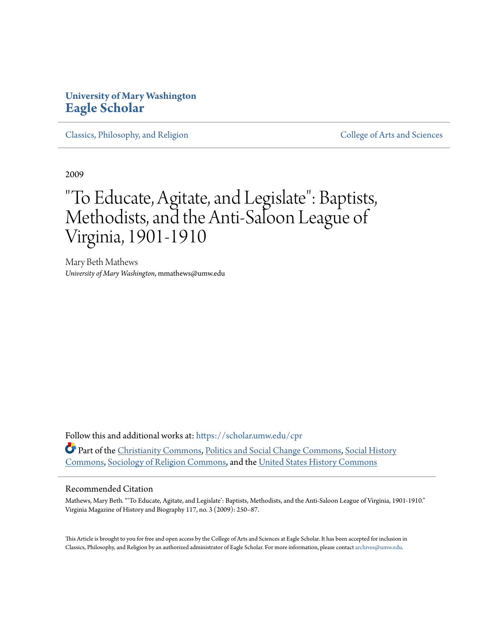## **University of Mary Washington [Eagle Scholar](https://scholar.umw.edu/?utm_source=scholar.umw.edu%2Fcpr%2F2&utm_medium=PDF&utm_campaign=PDFCoverPages)**

[Classics, Philosophy, and Religion](https://scholar.umw.edu/cpr?utm_source=scholar.umw.edu%2Fcpr%2F2&utm_medium=PDF&utm_campaign=PDFCoverPages) [College of Arts and Sciences](https://scholar.umw.edu/cas?utm_source=scholar.umw.edu%2Fcpr%2F2&utm_medium=PDF&utm_campaign=PDFCoverPages)

2009

## "To Educate, Agitate, and Legislate": Baptists, Methodists, and the Anti-Saloon League of Virginia, 1901-1910

Mary Beth Mathews *University of Mary Washington*, mmathews@umw.edu

Follow this and additional works at: [https://scholar.umw.edu/cpr](https://scholar.umw.edu/cpr?utm_source=scholar.umw.edu%2Fcpr%2F2&utm_medium=PDF&utm_campaign=PDFCoverPages) Part of the [Christianity Commons,](http://network.bepress.com/hgg/discipline/1181?utm_source=scholar.umw.edu%2Fcpr%2F2&utm_medium=PDF&utm_campaign=PDFCoverPages) [Politics and Social Change Commons](http://network.bepress.com/hgg/discipline/425?utm_source=scholar.umw.edu%2Fcpr%2F2&utm_medium=PDF&utm_campaign=PDFCoverPages), [Social History](http://network.bepress.com/hgg/discipline/506?utm_source=scholar.umw.edu%2Fcpr%2F2&utm_medium=PDF&utm_campaign=PDFCoverPages) [Commons,](http://network.bepress.com/hgg/discipline/506?utm_source=scholar.umw.edu%2Fcpr%2F2&utm_medium=PDF&utm_campaign=PDFCoverPages) [Sociology of Religion Commons](http://network.bepress.com/hgg/discipline/1365?utm_source=scholar.umw.edu%2Fcpr%2F2&utm_medium=PDF&utm_campaign=PDFCoverPages), and the [United States History Commons](http://network.bepress.com/hgg/discipline/495?utm_source=scholar.umw.edu%2Fcpr%2F2&utm_medium=PDF&utm_campaign=PDFCoverPages)

#### Recommended Citation

Mathews, Mary Beth. "'To Educate, Agitate, and Legislate': Baptists, Methodists, and the Anti-Saloon League of Virginia, 1901-1910." Virginia Magazine of History and Biography 117, no. 3 (2009): 250–87.

This Article is brought to you for free and open access by the College of Arts and Sciences at Eagle Scholar. It has been accepted for inclusion in Classics, Philosophy, and Religion by an authorized administrator of Eagle Scholar. For more information, please contact [archives@umw.edu](mailto:archives@umw.edu).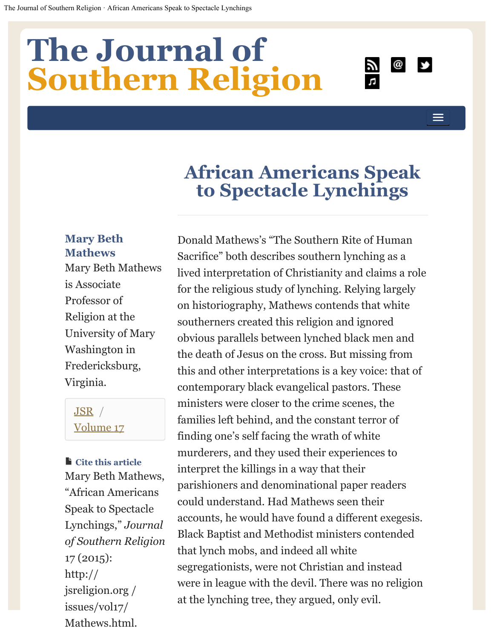# <span id="page-1-0"></span>**[The Journal of Southern Religion](http://jsreligion.org/)**



# **African Americans Speak to Spectacle Lynchings**

## **Mary Beth Mathews**

Mary Beth Mathews is Associate Professor of Religion at the University of Mary Washington in Fredericksburg, Virginia.

## [JSR](http://jsreligion.org/) / [Volume 17](http://jsreligion.org/issues/vol17/)

### **Cite this article**

Mary Beth Mathews , "African Americans Speak to Spectacle Lynchings," Journal *of Southern Religio n*  17 (2015): http:// jsreligion.org / issues/vol17/ Mathews.html.

Donald Mathews's "The Southern Rite of Human Sacrifice" both describes southern lynching as a lived interpretation of Christianity and claims a role for the religious study of lynching. Relying largely on historiography, Mathews contends that white southerners created this religion and ignored obvious parallels between lynched black men and the death of Jesus on the cross. But missing from this and other interpretations is a key voice: that of contemporary black evangelical pastors. These ministers were closer to the crime scenes, the families left behind, and the constant terror of finding one's self facing the wrath of white murderers, and they used their experiences to interpret the killings in a way that their parishioners and denominational paper readers could understand. Had Mathews seen their accounts, he would have found a different exegesis. Black Baptist and Methodist ministers contended that lynch mobs, and indeed all white segregationists, were not Christian and instead were in league with the devil. There was no religion at the lynching tree, they argued, only evil.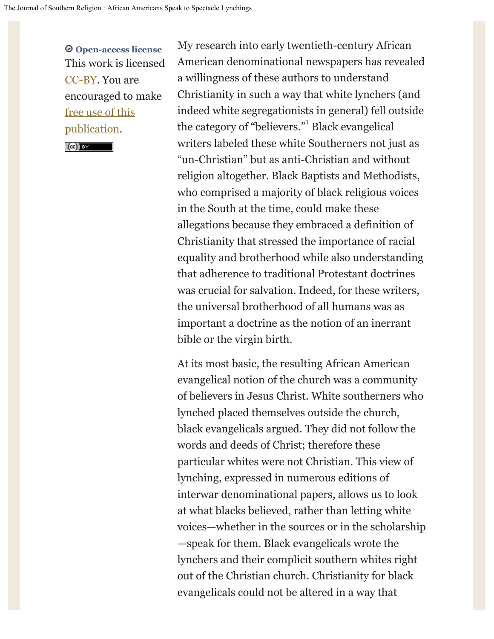**Open-access license**  This work is licensed [CC-BY](http://creativecommons.org/licenses/by/3.0/deed.en_US). You are encouraged to make [free use of this](http://jsr.fsu.edu/about/policies-and-submissions.html) [publication.](http://jsr.fsu.edu/about/policies-and-submissions.html)

 $\left($   $\infty$   $\right)$  BY

My research into early twentieth-century African American denominational newspapers has revealed a willingness of these authors to understand Christianity in such a way that white lynchers (and indeed white segregationists in general) fell outside the category of "believers."<sup>[1](#page-6-0)</sup> Black evangelical writers labeled these white Southerners not just as "un-Christian" but as anti-Christian and without religion altogether. Black Baptists and Methodists, who comprised a majority of black religious voices in the South at the time, could make these allegations because they embraced a definition of Christianity that stressed the importance of racial equality and brotherhood while also understanding that adherence to traditional Protestant doctrines was crucial for salvation. Indeed, for these writers, the universal brotherhood of all humans was as important a doctrine as the notion of an inerrant bible or the virgin birth.

At its most basic, the resulting African American evangelical notion of the church was a community of believers in Jesus Christ. White southerners who lynched placed themselves outside the church, black evangelicals argued. They did not follow the words and deeds of Christ; therefore these particular whites were not Christian. This view of lynching, expressed in numerous editions of interwar denominational papers, allows us to look at what blacks believed, rather than letting white voices—whether in the sources or in the scholarship —speak for them. Black evangelicals wrote the lynchers and their complicit southern whites right out of the Christian church. Christianity for black evangelicals could not be altered in a way that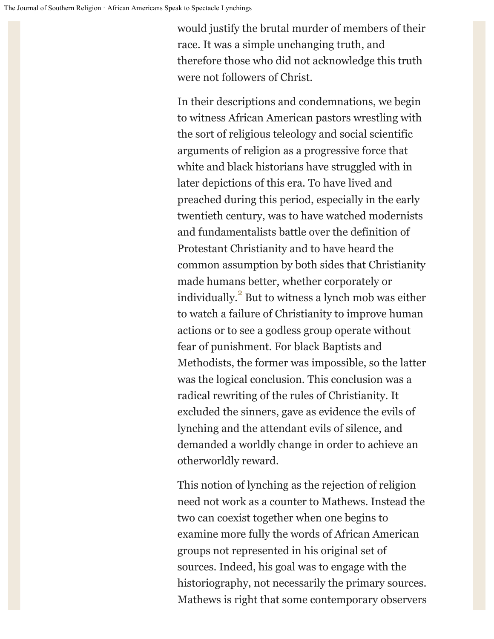would justify the brutal murder of members of their race. It was a simple unchanging truth, and therefore those who did not acknowledge this truth were not followers of Christ.

In their descriptions and condemnations, we begin to witness African American pastors wrestling with the sort of religious teleology and social scientific arguments of religion as a progressive force that white and black historians have struggled with in later depictions of this era. To have lived and preached during this period, especially in the early twentieth century, was to have watched modernists and fundamentalists battle over the definition of Protestant Christianity and to have heard the common assumption by both sides that Christianity made humans better, whether corporately or individually. $\mathrm{^{2}}$  But to witness a lynch mob was either to watch a failure of Christianity to improve human actions or to see a godless group operate without fear of punishment. For black Baptists and Methodists, the former was impossible, so the latter was the logical conclusion. This conclusion was a radical rewriting of the rules of Christianity. It excluded the sinners, gave as evidence the evils of lynching and the attendant evils of silence, and demanded a worldly change in order to achieve an otherworldly reward.

This notion of lynching as the rejection of religion need not work as a counter to Mathews. Instead the two can coexist together when one begins to examine more fully the words of African American groups not represented in his original set of sources. Indeed, his goal was to engage with the historiography, not necessarily the primary sources. Mathews is right that some contemporary observers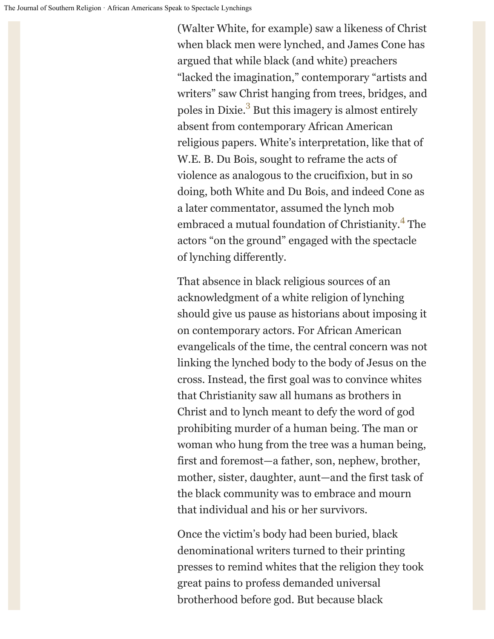(Walter White, for example) saw a likeness of Christ when black men were lynched, and James Cone has argued that while black (and white) preachers "lacked the imagination," contemporary "artists and writers" saw Christ hanging from trees, bridges, and poles in Dixie.<sup>[3](#page-6-2)</sup> But this imagery is almost entirely absent from contemporary African American religious papers. White's interpretation, like that of W.E. B. Du Bois, sought to reframe the acts of violence as analogous to the crucifixion, but in so doing, both White and Du Bois, and indeed Cone as a later commentator, assumed the lynch mob embraced a mutual foundation of Christianity.<sup>[4](#page-6-3)</sup> The actors "on the ground" engaged with the spectacle of lynching differently.

That absence in black religious sources of an acknowledgment of a white religion of lynching should give us pause as historians about imposing it on contemporary actors. For African American evangelicals of the time, the central concern was not linking the lynched body to the body of Jesus on the cross. Instead, the first goal was to convince whites that Christianity saw all humans as brothers in Christ and to lynch meant to defy the word of god prohibiting murder of a human being. The man or woman who hung from the tree was a human being, first and foremost—a father, son, nephew, brother, mother, sister, daughter, aunt—and the first task of the black community was to embrace and mourn that individual and his or her survivors.

Once the victim's body had been buried, black denominational writers turned to their printing presses to remind whites that the religion they took great pains to profess demanded universal brotherhood before god. But because black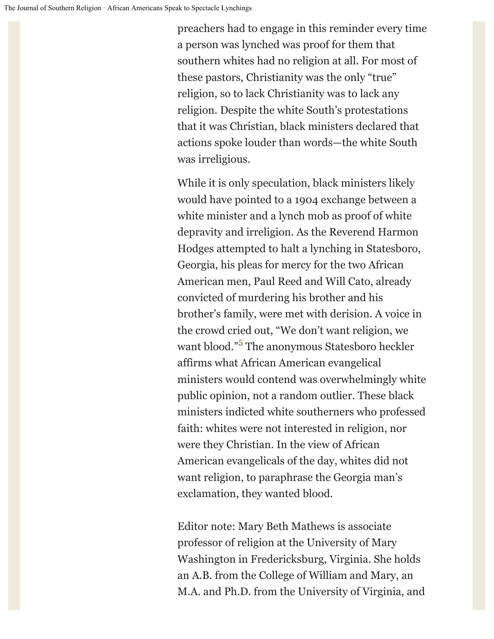preachers had to engage in this reminder every time a person was lynched was proof for them that southern whites had no religion at all. For most of these pastors, Christianity was the only "true" religion, so to lack Christianity was to lack any religion. Despite the white South's protestations that it was Christian, black ministers declared that actions spoke louder than words—the white South was irreligious.

While it is only speculation, black ministers likely would have pointed to a 1904 exchange between a white minister and a lynch mob as proof of white depravity and irreligion. As the Reverend Harmon Hodges attempted to halt a lynching in Statesboro, Georgia, his pleas for mercy for the two African American men, Paul Reed and Will Cato, already convicted of murdering his brother and his brother's family, were met with derision. A voice in the crowd cried out, "We don't want religion, we want blood."[5](#page-6-4) The anonymous Statesboro heckler affirms what African American evangelical ministers would contend was overwhelmingly white public opinion, not a random outlier. These black ministers indicted white southerners who professed faith: whites were not interested in religion, nor were they Christian. In the view of African American evangelicals of the day, whites did not want religion, to paraphrase the Georgia man's exclamation, they wanted blood.

Editor note: Mary Beth Mathews is associate professor of religion at the University of Mary Washington in Fredericksburg, Virginia. She holds an A.B. from the College of William and Mary, an M.A. and Ph.D. from the University of Virginia, and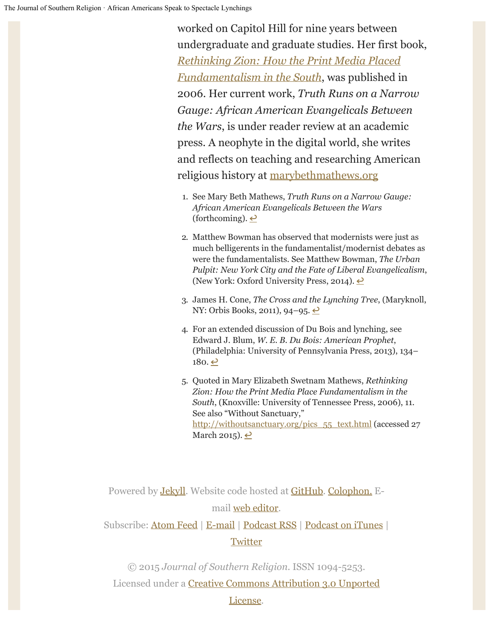worked on Capitol Hill for nine years between undergraduate and graduate studies. Her first book, *[Rethinking Zion: How the Print Media Placed](http://utpress.org/bookdetail-2/?jobno=T01140) [Fundamentalism in the South](http://utpress.org/bookdetail-2/?jobno=T01140)*, was published in 2006. Her current work, *Truth Runs on a Narrow Gauge: African American Evangelicals Between the Wars*, is under reader review at an academic press. A neophyte in the digital world, she writes and reflects on teaching and researching American religious history at [marybethmathews.org](http://jsreligion.org/issues/vol17/marybethmathews.org)

- <span id="page-6-0"></span>1. See Mary Beth Mathews, *Truth Runs on a Narrow Gauge: African American Evangelicals Between the Wars* (forthcoming).  $\triangle$
- <span id="page-6-1"></span>2. Matthew Bowman has observed that modernists were just as much belligerents in the fundamentalist/modernist debates as were the fundamentalists. See Matthew Bowman, *The Urban Pulpit: New York City and the Fate of Liberal Evangelicalism*, (New York: Oxford University Press, 2014).  $\triangle$
- <span id="page-6-2"></span>3. James H. Cone, *The Cross and the Lynching Tree*, (Maryknoll, NY: Orbis Books, 2011), 94–95.  $\triangle$
- <span id="page-6-3"></span>4. For an extended discussion of Du Bois and lynching, see Edward J. Blum, *W. E. B. Du Bois: American Prophet*, (Philadelphia: University of Pennsylvania Press, 2013), 134–  $180 \cdot \underline{\infty}$
- 5. Quoted in Mary Elizabeth Swetnam Mathews, *Rethinking Zion: How the Print Media Place Fundamentalism in the South*, (Knoxville: University of Tennessee Press, 2006), 11. See also "Without Sanctuary," [http://withoutsanctuary.org/pics\\_55\\_text.html](http://withoutsanctuary.org/pics_55_text.html) (accessed 27 March 2015).  $\triangle$

<span id="page-6-4"></span>Powered by **Jekyll**. Website code hosted at **GitHub**. [Colophon.](http://jsreligion.org/about/colophon.html) Email [web editor](mailto:lincoln+jsr@lincolnmullen.com).

Subscribe: [Atom Feed](http://feeds.feedburner.com/JSR-all) | [E-mail](http://eepurl.com/llKWT) | [Podcast RSS](http://feeds.feedburner.com/JSR-podcast) | [Podcast on iTunes](http://itunes.apple.com/us/podcast/journal-southern-religion/id523508035) | **[Twitter](https://twitter.com/#!/jsreligion)** 

© 2015 *Journal of Southern Religion*. ISSN 1094-5253. Licensed under a [Creative Commons Attribution 3.0 Unported](http://creativecommons.org/licenses/by/3.0/deed.en_US) 

#### [License.](http://creativecommons.org/licenses/by/3.0/deed.en_US)